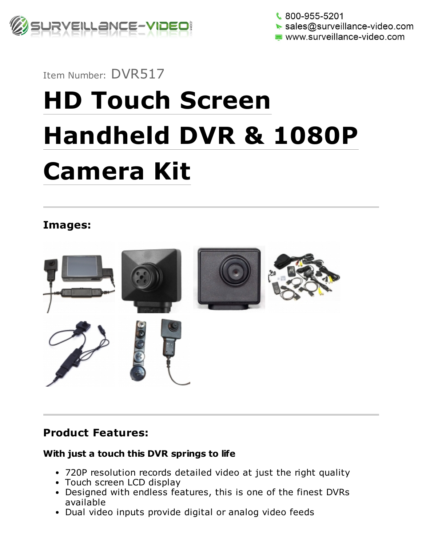

 $\frac{1}{2}$  800-955-5201  $\triangleright$  sales@surveillance-video.com www.surveillance-video.com

## Item Number: DVR517

# HD Touch Screen Handheld DVR & 1080P Camera Kit

## Images:



### Product Features:

#### With just a touch this DVR springs to life

- 720P resolution records detailed video at just the right quality
- Touch screen LCD display
- Designed with endless features, this is one of the finest DVRs available
- Dual video inputs provide digital or analog video feeds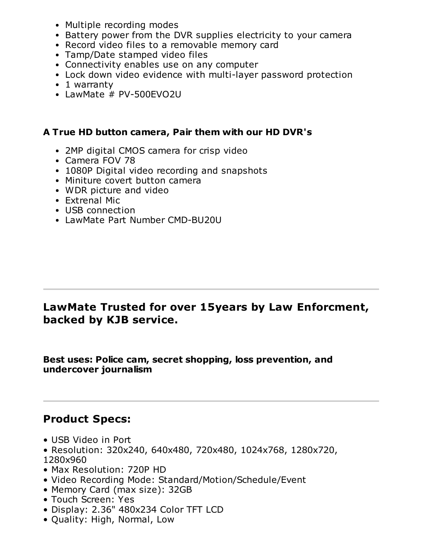- Multiple recording modes
- Battery power from the DVR supplies electricity to your camera
- Record video files to a removable memory card
- Tamp/Date stamped video files
- Connectivity enables use on any computer
- Lock down video evidence with multi-layer password protection
- 1 warranty
- LawMate # PV-500EVO2U

#### A True HD button camera, Pair them with our HD DVR's

- 2MP digital CMOS camera for crisp video
- Camera FOV 78
- 1080P Digital video recording and snapshots
- Miniture covert button camera
- WDR picture and video
- Extrenal Mic
- USB connection
- LawMate Part Number CMD-BU20U

## LawMate Trusted for over 15years by Law Enforcment, backed by KJB service.

Best uses: Police cam, secret shopping, loss prevention, and undercover journalism

## Product Specs:

- USB Video in Port
- Resolution: 320x240, 640x480, 720x480, 1024x768, 1280x720, 1280x960
- Max Resolution: 720P HD
- Video Recording Mode: Standard/Motion/Schedule/Event
- Memory Card (max size): 32GB
- Touch Screen: Yes
- Display: 2.36" 480x234 Color TFT LCD
- Quality: High, Normal, Low